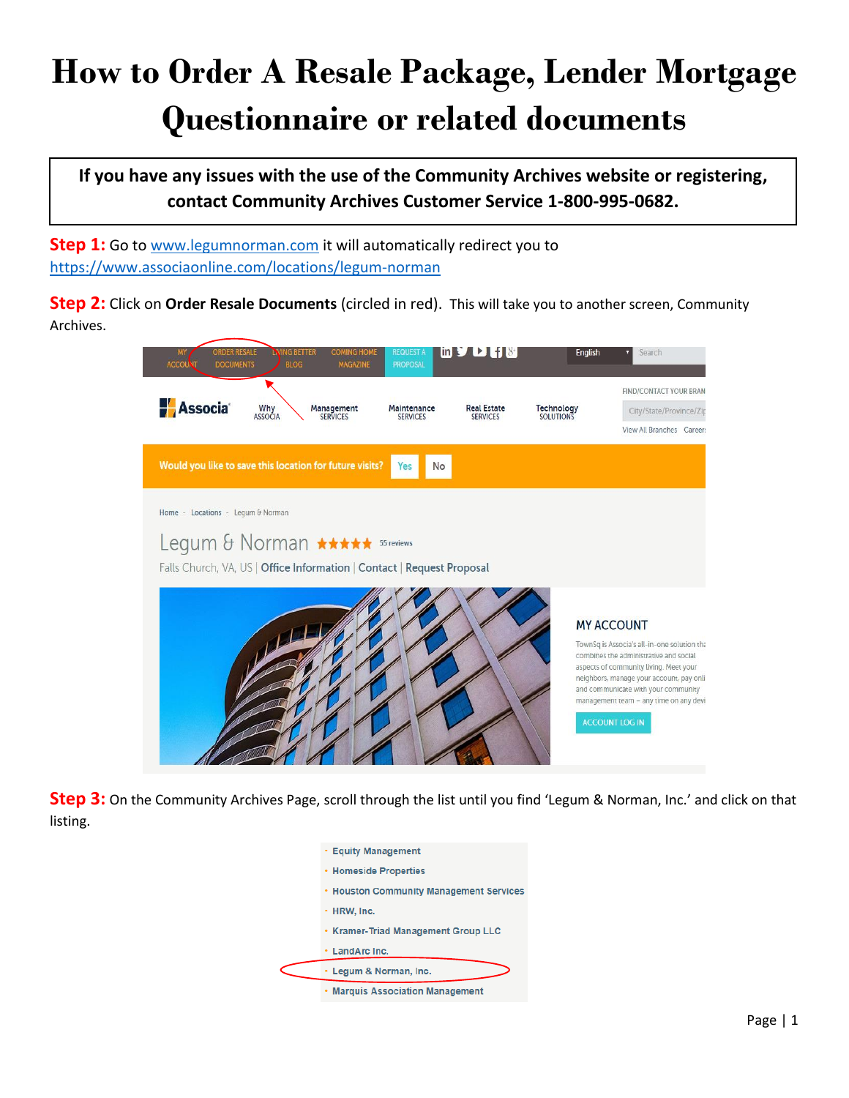## **How to Order A Resale Package, Lender Mortgage Questionnaire or related documents**

**If you have any issues with the use of the Community Archives website or registering, contact Community Archives Customer Service 1-800-995-0682.**

**Step 1:** Go to www.legumnorman.com it will automatically redirect you to https://www.associaonline.com/locations/legum-norman

**Step 2:** Click on **Order Resale Documents** (circled in red). This will take you to another screen, Community Archives.



**Step 3:** On the Community Archives Page, scroll through the list until you find 'Legum & Norman, Inc.' and click on that listing.

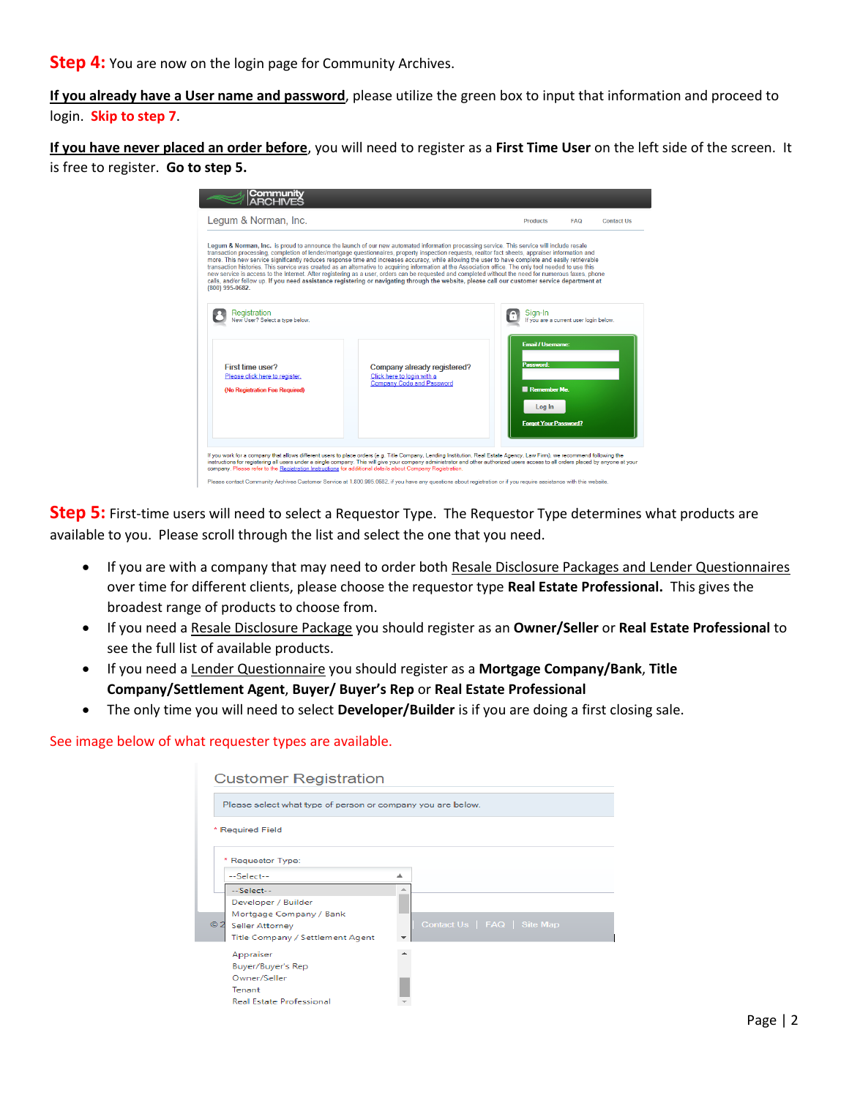**Step 4:** You are now on the login page for Community Archives.

**If you already have a User name and password**, please utilize the green box to input that information and proceed to login. **Skip to step 7**.

**If you have never placed an order before**, you will need to register as a **First Time User** on the left side of the screen. It is free to register. **Go to step 5.**

| <b>Community</b><br>ARCHIVES                                                                                                                                                                                                                                                                                                                                                                                                                                                                                                                                                                                                                                                                                                                                                                                                                                                                                                                 |                                                                                        |            |                   |
|----------------------------------------------------------------------------------------------------------------------------------------------------------------------------------------------------------------------------------------------------------------------------------------------------------------------------------------------------------------------------------------------------------------------------------------------------------------------------------------------------------------------------------------------------------------------------------------------------------------------------------------------------------------------------------------------------------------------------------------------------------------------------------------------------------------------------------------------------------------------------------------------------------------------------------------------|----------------------------------------------------------------------------------------|------------|-------------------|
| Legum & Norman, Inc.                                                                                                                                                                                                                                                                                                                                                                                                                                                                                                                                                                                                                                                                                                                                                                                                                                                                                                                         | <b>Products</b>                                                                        | <b>FAQ</b> | <b>Contact Us</b> |
| Legum & Norman, Inc. is proud to announce the launch of our new automated information processing service. This service will include resale<br>transaction processing, completion of lender/mortgage questionnaires, property inspection requests, realtor fact sheets, appraiser information and<br>more. This new service significantly reduces response time and increases accuracy, while allowing the user to have complete and easily retrievable<br>transaction histories. This service was created as an alternative to acquiring information at the Association office. The only tool needed to use this<br>new service is access to the Internet. After registering as a user, orders can be requested and completed without the need for numerous faxes, phone<br>calls, and/or follow up. If you need assistance registering or navigating through the website, please call our customer service department at<br>(800) 995-0682. |                                                                                        |            |                   |
| Registration<br>New User? Select a type below.                                                                                                                                                                                                                                                                                                                                                                                                                                                                                                                                                                                                                                                                                                                                                                                                                                                                                               | Sign-In<br>If you are a current user login below.                                      |            |                   |
| First time user?<br>Company already registered?<br>Click here to login with a<br>Please click here to register.<br>Company Code and Password<br>(No Registration Fee Reguired)                                                                                                                                                                                                                                                                                                                                                                                                                                                                                                                                                                                                                                                                                                                                                               | Email / Usemame:<br>Password:<br>Remember Me<br>Log In<br><b>Forgot Your Password?</b> |            |                   |
| If you work for a company that allows different users to place orders (e.g. Title Company, Lending Institution, Real Estate Agency, Law Firm), we recommend following the<br>instructions for registering all users under a single company. This will give your company administrator and other authorized users access to all orders placed by anyone at your<br>company. Please refer to the Registration Instructions for additional details about Company Registration.                                                                                                                                                                                                                                                                                                                                                                                                                                                                  |                                                                                        |            |                   |

**Step 5:** First-time users will need to select a Requestor Type. The Requestor Type determines what products are available to you. Please scroll through the list and select the one that you need.

- If you are with a company that may need to order both Resale Disclosure Packages and Lender Questionnaires over time for different clients, please choose the requestor type **Real Estate Professional.** This gives the broadest range of products to choose from.
- If you need a Resale Disclosure Package you should register as an **Owner/Seller** or **Real Estate Professional** to see the full list of available products.
- If you need a Lender Questionnaire you should register as a **Mortgage Company/Bank**, **Title Company/Settlement Agent**, **Buyer/ Buyer's Rep** or **Real Estate Professional**
- The only time you will need to select **Developer/Builder** is if you are doing a first closing sale.

See image below of what requester types are available.

| <b>Customer Registration</b><br>Please select what type of person or company you are below.                                                        |                             |  |  |  |  |  |
|----------------------------------------------------------------------------------------------------------------------------------------------------|-----------------------------|--|--|--|--|--|
| * Required Field<br>* Requestor Type:                                                                                                              |                             |  |  |  |  |  |
| --Select--<br>$-S$ elect $-$<br>Developer / Builder<br>Mortgage Company / Bank<br>©2<br><b>Seller Attorney</b><br>Title Company / Settlement Agent | Contact Us   FAQ   Site Map |  |  |  |  |  |
| Appraiser<br>Buyer/Buyer's Rep<br>Owner/Seller<br>Tenant<br><b>Real Estate Professional</b>                                                        |                             |  |  |  |  |  |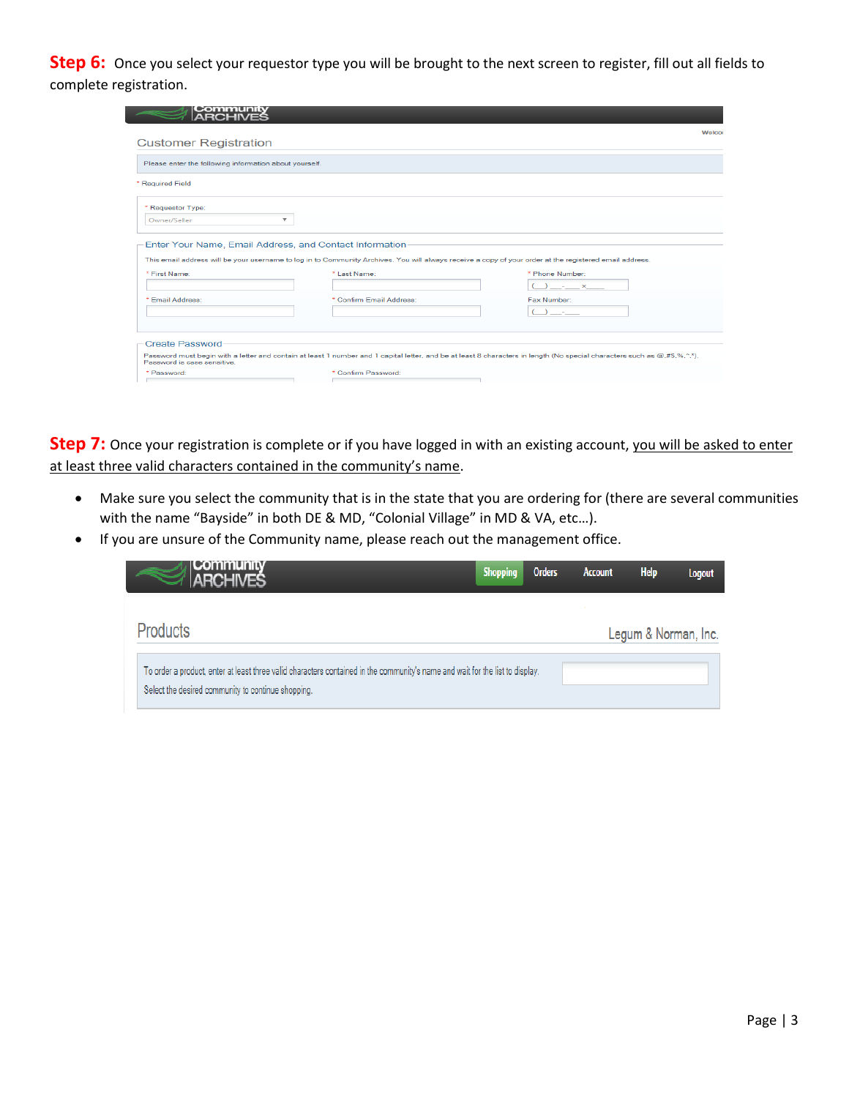**Step 6:** Once you select your requestor type you will be brought to the next screen to register, fill out all fields to complete registration.

| Please enter the following information about yourself. |                                                                                                                                                                         |                          |
|--------------------------------------------------------|-------------------------------------------------------------------------------------------------------------------------------------------------------------------------|--------------------------|
| * Required Field                                       |                                                                                                                                                                         |                          |
| * Requestor Type:                                      |                                                                                                                                                                         |                          |
|                                                        |                                                                                                                                                                         |                          |
| Owner/Seller                                           | ▼<br>Enter Your Name, Email Address, and Contact Information                                                                                                            |                          |
|                                                        | This email address will be your username to log in to Community Archives. You will always receive a copy of your order at the registered email address.<br>* Last Name: | * Phone Number:          |
| * First Name:<br>* Email Address:                      | * Confirm Email Address:                                                                                                                                                | $ \times$<br>Fax Number: |
|                                                        |                                                                                                                                                                         |                          |

**Step 7:** Once your registration is complete or if you have logged in with an existing account, you will be asked to enter at least three valid characters contained in the community's name.

- Make sure you select the community that is in the state that you are ordering for (there are several communities with the name "Bayside" in both DE & MD, "Colonial Village" in MD & VA, etc…).
- If you are unsure of the Community name, please reach out the management office.

| Community<br>ARCHIVES                                                                                                                                                               | <b>Shopping</b> | <b>Orders</b> | <b>Account</b> | <b>Help</b> | Logout               |
|-------------------------------------------------------------------------------------------------------------------------------------------------------------------------------------|-----------------|---------------|----------------|-------------|----------------------|
| <b>Products</b>                                                                                                                                                                     |                 |               |                |             | Legum & Norman, Inc. |
| To order a product, enter at least three valid characters contained in the community's name and wait for the list to display.<br>Select the desired community to continue shopping. |                 |               |                |             |                      |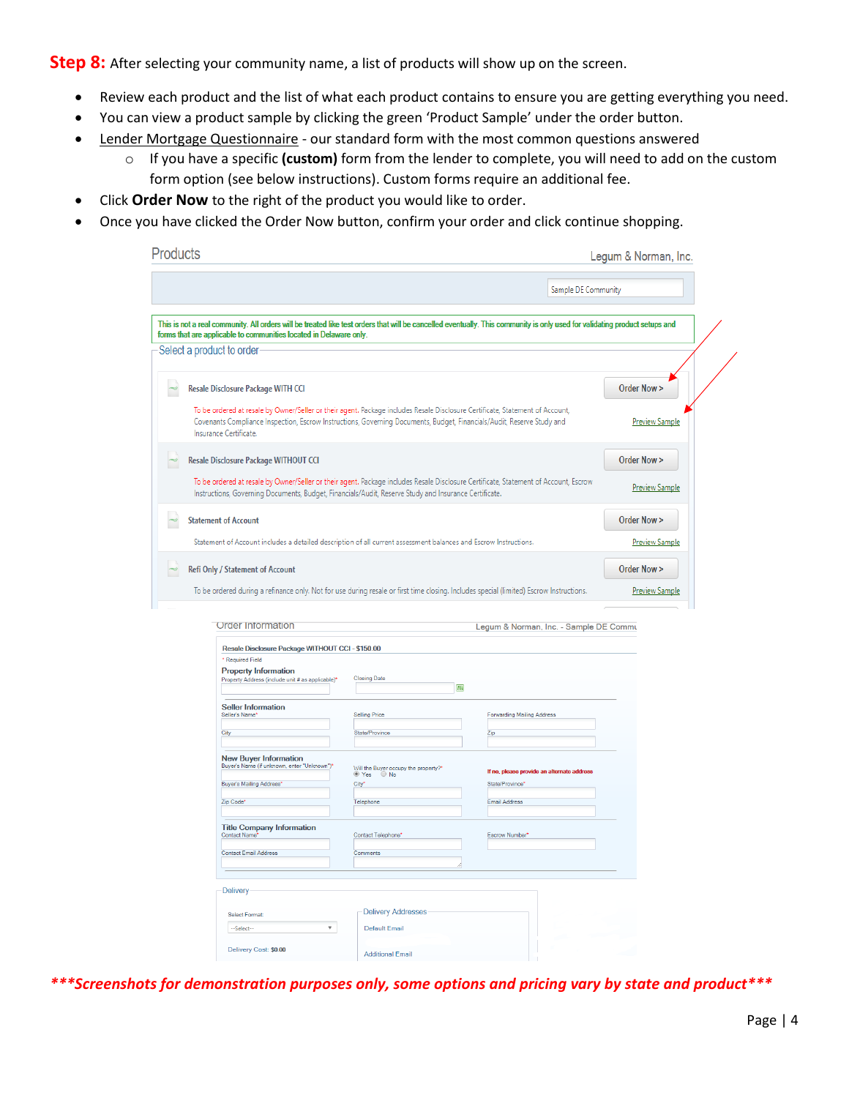**Step 8:** After selecting your community name, a list of products will show up on the screen.

- Review each product and the list of what each product contains to ensure you are getting everything you need.
- You can view a product sample by clicking the green 'Product Sample' under the order button.
- Lender Mortgage Questionnaire our standard form with the most common questions answered
	- o If you have a specific **(custom)** form from the lender to complete, you will need to add on the custom form option (see below instructions). Custom forms require an additional fee.
- Click **Order Now** to the right of the product you would like to order.
- Once you have clicked the Order Now button, confirm your order and click continue shopping.

|                                                                                                                                                         |                                                                                 | Sample DE Community                                                                                                                                                                                                                                     |                       |
|---------------------------------------------------------------------------------------------------------------------------------------------------------|---------------------------------------------------------------------------------|---------------------------------------------------------------------------------------------------------------------------------------------------------------------------------------------------------------------------------------------------------|-----------------------|
|                                                                                                                                                         |                                                                                 |                                                                                                                                                                                                                                                         |                       |
| forms that are applicable to communities located in Delaware only.                                                                                      |                                                                                 | This is not a real community. All orders will be treated like test orders that will be cancelled eventually. This community is only used for validating product setups and                                                                              |                       |
| Select a product to order                                                                                                                               |                                                                                 |                                                                                                                                                                                                                                                         |                       |
| Resale Disclosure Package WITH CCI                                                                                                                      |                                                                                 |                                                                                                                                                                                                                                                         | Order Now >           |
| Insurance Certificate.                                                                                                                                  |                                                                                 | To be ordered at resale by Owner/Seller or their agent. Package includes Resale Disclosure Certificate, Statement of Account,<br>Covenants Compliance Inspection, Escrow Instructions, Governing Documents, Budget, Financials/Audit, Reserve Study and | <b>Preview Sample</b> |
| Resale Disclosure Package WITHOUT CCI                                                                                                                   |                                                                                 |                                                                                                                                                                                                                                                         | Order Now >           |
| Instructions, Governing Documents, Budget, Financials/Audit, Reserve Study and Insurance Certificate.                                                   |                                                                                 | To be ordered at resale by Owner/Seller or their agent. Package includes Resale Disclosure Certificate, Statement of Account, Escrow                                                                                                                    | <b>Preview Sample</b> |
| <b>Statement of Account</b>                                                                                                                             |                                                                                 |                                                                                                                                                                                                                                                         | Order Now >           |
| Statement of Account includes a detailed description of all current assessment balances and Escrow Instructions.                                        |                                                                                 |                                                                                                                                                                                                                                                         | <b>Preview Sample</b> |
|                                                                                                                                                         |                                                                                 |                                                                                                                                                                                                                                                         |                       |
| Refi Only / Statement of Account                                                                                                                        |                                                                                 |                                                                                                                                                                                                                                                         | Order Now >           |
| <b>Order Information</b>                                                                                                                                |                                                                                 | To be ordered during a refinance only. Not for use during resale or first time closing. Includes special (limited) Escrow Instructions.<br>Legum & Norman, Inc. - Sample DE Commu                                                                       | <b>Preview Sample</b> |
| Resale Disclosure Package WITHOUT CCI - \$150.00<br>* Required Field<br><b>Property Information</b><br>Property Address (include unit # as applicable)* | <b>Closing Date</b>                                                             | 画                                                                                                                                                                                                                                                       |                       |
| <b>Seller Information</b><br>Seller's Name*                                                                                                             | <b>Selling Price</b>                                                            | <b>Forwarding Mailing Address</b>                                                                                                                                                                                                                       |                       |
| City                                                                                                                                                    | State/Province                                                                  | Zip                                                                                                                                                                                                                                                     |                       |
| <b>New Buyer Information</b><br>Buyer's Name (if unknown, enter "Unknown")                                                                              |                                                                                 |                                                                                                                                                                                                                                                         |                       |
| Buyer's Mailing Address*                                                                                                                                | Will the Buyer occupy the property?"<br>$\bullet$ Yes<br>$\bigcirc$ No<br>City* | If no, please provide an alternate address<br>State/Province'                                                                                                                                                                                           |                       |
| Zip Code*                                                                                                                                               | Telephone                                                                       | Email Address                                                                                                                                                                                                                                           |                       |
| <b>Title Company Information</b><br><b>Contact Name</b>                                                                                                 | Contact Telephone'                                                              | Escrow Number*                                                                                                                                                                                                                                          |                       |
| Contact Email Address                                                                                                                                   | Comments                                                                        |                                                                                                                                                                                                                                                         |                       |
| Delivery                                                                                                                                                |                                                                                 |                                                                                                                                                                                                                                                         |                       |
| <b>Select Format:</b>                                                                                                                                   | <b>Delivery Addresses</b>                                                       |                                                                                                                                                                                                                                                         |                       |
| --Select--<br>Delivery Cost: \$0.00                                                                                                                     | $\overline{\mathbf{v}}$<br><b>Default Email</b>                                 |                                                                                                                                                                                                                                                         |                       |

*\*\*\*Screenshots for demonstration purposes only, some options and pricing vary by state and product\*\*\**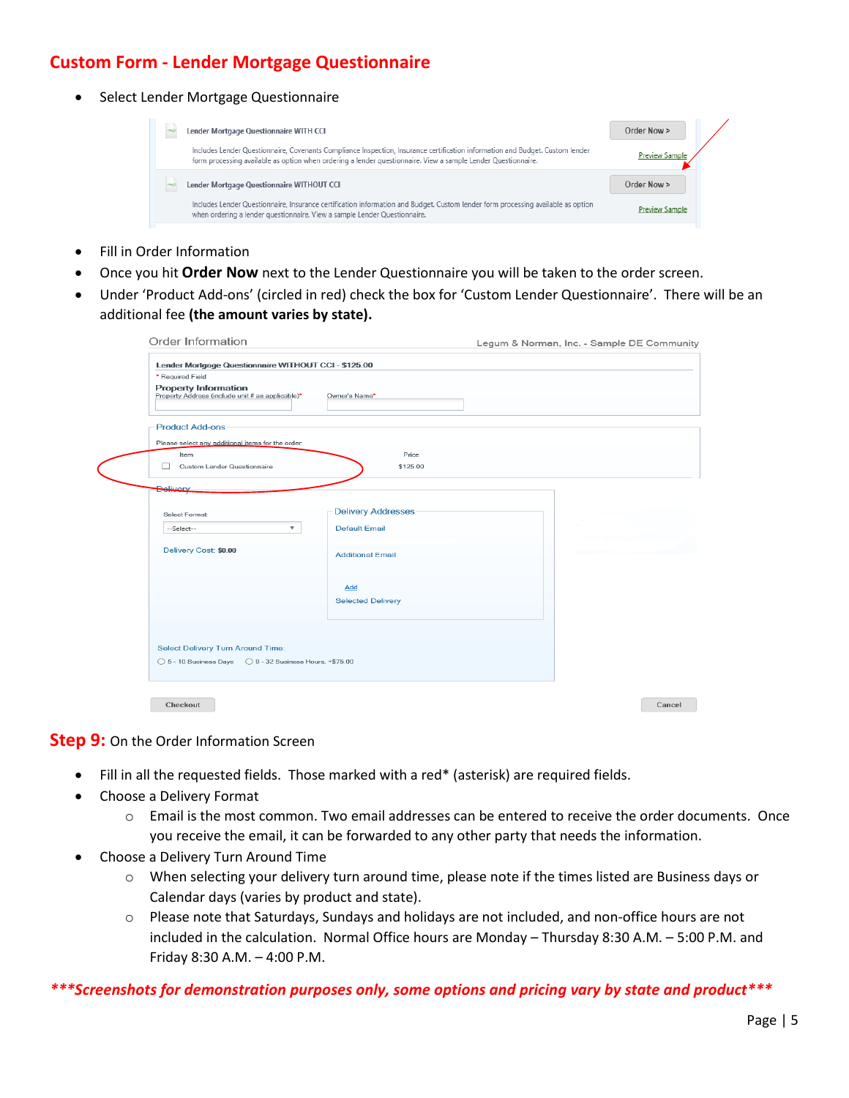## **Custom Form - Lender Mortgage Questionnaire**

• Select Lender Mortgage Questionnaire

| Lender Mortgage Questionnaire WITH CCI                                                                                                                                                                                                         | Order Now >           |
|------------------------------------------------------------------------------------------------------------------------------------------------------------------------------------------------------------------------------------------------|-----------------------|
| Includes Lender Questionnaire, Covenants Compliance Inspection, Insurance certification information and Budget, Custom lender<br>form processing available as option when ordering a lender questionnaire. View a sample Lender Questionnaire. | <b>Preview Sample</b> |
| Lender Mortgage Questionnaire WITHOUT CCI                                                                                                                                                                                                      | Order Now >           |
| Includes Lender Questionnaire, Insurance certification information and Budget. Custom lender form processing available as option<br>when ordering a lender questionnaire. View a sample Lender Questionnaire.                                  | Preview Sample        |

- Fill in Order Information
- Once you hit **Order Now** next to the Lender Questionnaire you will be taken to the order screen.
- Under 'Product Add-ons' (circled in red) check the box for 'Custom Lender Questionnaire'. There will be an additional fee **(the amount varies by state).**

| Lender Mortgage Questionnaire WITHOUT CCI - \$125.00<br>* Required Field        |                           |  |
|---------------------------------------------------------------------------------|---------------------------|--|
| <b>Property Information</b><br>Property Address (include unit # as applicable)* | Owner's Name*             |  |
| <b>Product Add-ons</b>                                                          |                           |  |
| Please select any additional items for the order:                               |                           |  |
| Item                                                                            | Price                     |  |
| $\Box$<br>Custom Lender Questionnaire                                           | \$125.00                  |  |
| <b>Delivery</b>                                                                 |                           |  |
|                                                                                 |                           |  |
| Select Format:                                                                  | <b>Delivery Addresses</b> |  |
| $\overline{\mathbf{v}}$<br>--Select--                                           | <b>Default Email</b>      |  |
| Delivery Cost: \$0.00                                                           |                           |  |
|                                                                                 | <b>Additional Email</b>   |  |
|                                                                                 |                           |  |
|                                                                                 | Add                       |  |
|                                                                                 | <b>Selected Delivery</b>  |  |
|                                                                                 |                           |  |
|                                                                                 |                           |  |
| <b>Select Delivery Turn Around Time:</b>                                        |                           |  |
|                                                                                 |                           |  |
| ◯ 5 - 10 Business Days ◯ 9 - 32 Business Hours, +\$75.00                        |                           |  |

## **Step 9:** On the Order Information Screen

- Fill in all the requested fields. Those marked with a red\* (asterisk) are required fields.
- Choose a Delivery Format
	- $\circ$  Email is the most common. Two email addresses can be entered to receive the order documents. Once you receive the email, it can be forwarded to any other party that needs the information.
- Choose a Delivery Turn Around Time
	- o When selecting your delivery turn around time, please note if the times listed are Business days or Calendar days (varies by product and state).
	- $\circ$  Please note that Saturdays, Sundays and holidays are not included, and non-office hours are not included in the calculation. Normal Office hours are Monday – Thursday 8:30 A.M. – 5:00 P.M. and Friday 8:30 A.M. – 4:00 P.M.

## *\*\*\*Screenshots for demonstration purposes only, some options and pricing vary by state and product\*\*\**